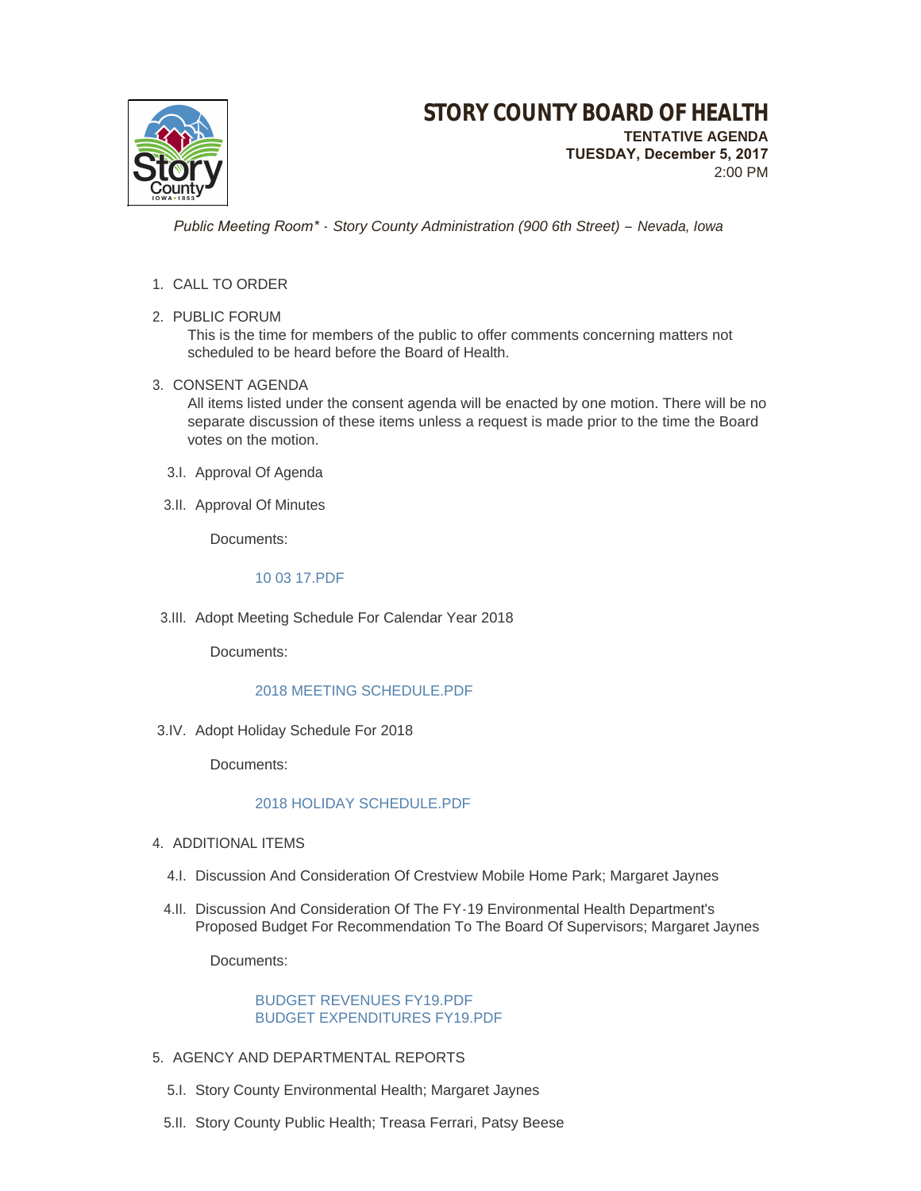

 **TUESDAY, December 5, 2017** 2:00 PM

 *Public Meeting Room\* - Story County Administration (900 6th Street) – Nevada, Iowa*

## 1. CALL TO ORDER

2. PUBLIC FORUM

This is the time for members of the public to offer comments concerning matters not scheduled to be heard before the Board of Health.

## 3. CONSENT AGENDA

All items listed under the consent agenda will be enacted by one motion. There will be no separate discussion of these items unless a request is made prior to the time the Board votes on the motion.

- 3.I. Approval Of Agenda
- 3.II. Approval Of Minutes

Documents:

#### [10 03 17.PDF](http://www.storycountyiowa.gov/AgendaCenter/ViewFile/Item/10777?fileID=7613)

3.III. Adopt Meeting Schedule For Calendar Year 2018

Documents:

# [2018 MEETING SCHEDULE.PDF](http://www.storycountyiowa.gov/AgendaCenter/ViewFile/Item/10771?fileID=7610)

3.IV. Adopt Holiday Schedule For 2018

Documents:

# [2018 HOLIDAY SCHEDULE.PDF](http://www.storycountyiowa.gov/AgendaCenter/ViewFile/Item/10772?fileID=7611)

- 4. ADDITIONAL ITEMS
	- 4.I. Discussion And Consideration Of Crestview Mobile Home Park; Margaret Jaynes
	- 4.II. Discussion And Consideration Of The FY-19 Environmental Health Department's Proposed Budget For Recommendation To The Board Of Supervisors; Margaret Jaynes

Documents:

#### [BUDGET REVENUES FY19.PDF](http://www.storycountyiowa.gov/AgendaCenter/ViewFile/Item/10781?fileID=7625) [BUDGET EXPENDITURES FY19.PDF](http://www.storycountyiowa.gov/AgendaCenter/ViewFile/Item/10781?fileID=7626)

- 5. AGENCY AND DEPARTMENTAL REPORTS
	- 5.I. Story County Environmental Health; Margaret Jaynes
	- 5.II. Story County Public Health; Treasa Ferrari, Patsy Beese